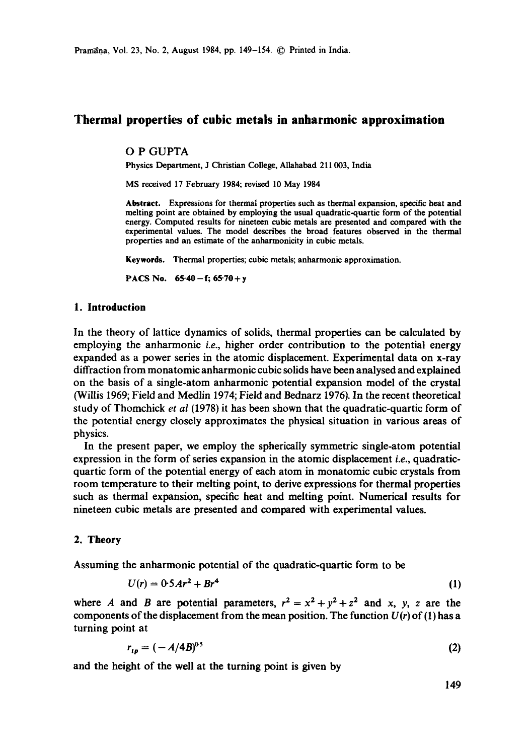# **Thermal properties of cubic metals in anharmonic approximation**

#### O P GUPTA

Physics Department, J Christian College, Aliahabad 211003, India

MS received 17 February 1984; revised 10 May 1984

**Abstract.** Expressions for thermal properties such as thermal expansion, specific heat and melting point are obtained by employing the usual quadratic-quartic form of the potential energy. Computed results for nineteen cubic metals are presented and compared with **the**  experimental values. The model describes the broad features observed in the thermal properties and an estimate of the anharmonicity in cubic metals.

Keywords. Thermal properties; cubic metals; anharmonic approximation.

PACS No.  $65.40 - f$ ;  $65.70 + y$ 

## **1. Introduction**

In the theory of lattice dynamics of solids, thermal properties can be calculated by employing the anharmonic *i.e.,* higher order contribution to the potential energy expanded as a power series in the atomic displacement. Experimental data on x-ray diffraction from monatomic anharmonic cubic solids have been analysed and explained on the basis of a single-atom anharmonic potential expansion model of the crystal (Willis 1969; Field and Medlin 1974; Field and Bednarz 1976). In the recent theoretical study of Thomchick *et al* (1978) it has been shown that the quadratic-quartic form of the potential energy closely approximates the physical situation in various areas of physics.

In the present paper, we employ the spherically symmetric single-atom potential expression in the form of series expansion in the atomic displacement *i.e.,* quadraticquartic form of the potential energy of each atom in monatomic cubic crystals from room temperature to their melting point, to derive expressions for thermal properties such as thermal expansion, specific heat and melting point. Numerical results for nineteen cubic metals are presented and compared with experimental values.

### 2. Theory

Assuming the anharmonic potential of the quadratic-quartic form to be

$$
U(r) = 0.5Ar^2 + Br^4
$$
 (1)

where A and B are potential parameters,  $r^2 = x^2 + y^2 + z^2$  and x, y, z are the components of the displacement from the mean position. The function  $U(r)$  of (1) has a turning point at

$$
r_{tp} = (-A/4B)^{0.5} \tag{2}
$$

and the height of the well at the turning point is given by

149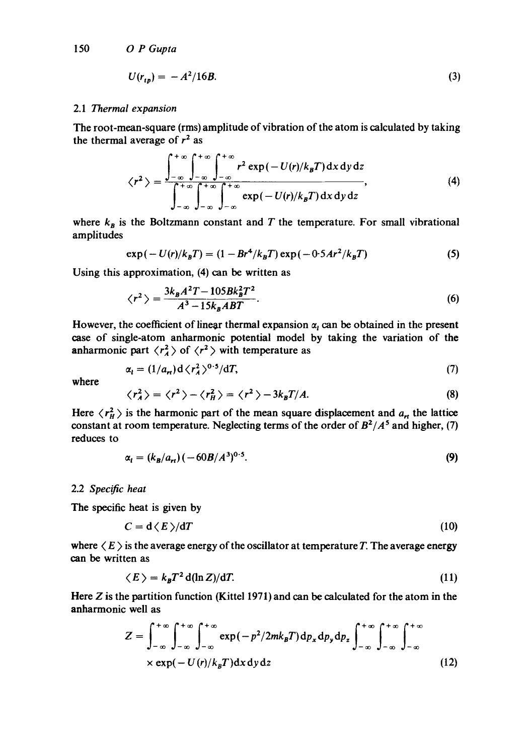$$
U(r_{ij}) = -A^2/16B.
$$
 (3)

#### 2.1 *Thermal expansion*

The root-mean-square (rms) amplitude of vibration of the atom is calculated by taking the thermal average of  $r^2$  as

$$
\langle r^2 \rangle = \frac{\int_{-\infty}^{+\infty} \int_{-\infty}^{+\infty} \int_{-\infty}^{+\infty} r^2 \exp(-U(r)/k_B T) \, dx \, dy \, dz}{\int_{-\infty}^{+\infty} \int_{-\infty}^{+\infty} \int_{-\infty}^{+\infty} \exp(-U(r)/k_B T) \, dx \, dy \, dz}, \tag{4}
$$

where  $k_B$  is the Boltzmann constant and T the temperature. For small vibrational amplitudes

$$
\exp(-U(r)/k_B T) = (1 - Br^4/k_B T) \exp(-0.5 Ar^2/k_B T) \tag{5}
$$

Using this approximation, (4) can be written as

$$
\langle r^2 \rangle = \frac{3k_B A^2 T - 105Bk_B^2 T^2}{A^3 - 15k_B ABT}.
$$
\n
$$
(6)
$$

However, the coefficient of linear thermal expansion  $\alpha_t$  can be obtained in the present case of single-atom anharmonic potential model by taking the variation of the anharmonic part  $\langle r_{A}^{2} \rangle$  of  $\langle r^{2} \rangle$  with temperature as

$$
\alpha_i = (1/a_{ri})\,\mathrm{d}\,\langle r_A^2\,\rangle^{0.5}/\mathrm{d}T,\tag{7}
$$

where

$$
\langle r_A^2 \rangle = \langle r^2 \rangle - \langle r_H^2 \rangle = \langle r^2 \rangle - 3k_B T/A. \tag{8}
$$

Here  $\langle r_H^2 \rangle$  is the harmonic part of the mean square displacement and  $a_n$  the lattice constant at room temperature. Neglecting terms of the order of  $B^2/A^5$  and higher, (7) reduces to

$$
\alpha_l = (k_B/a_{rt}) \left( -60B/A^3 \right)^{0.5}.
$$
 (9)

### 2.2 *Specific heat*

The specific heat is given by

$$
C = d \langle E \rangle / dT \tag{10}
$$

where  $\langle E \rangle$  is the average energy of the oscillator at temperature T. The average energy can be written as

$$
\langle E \rangle = k_B T^2 d(\ln Z) / dT. \tag{11}
$$

Here Z is the partition function (Kittel 1971) and can be calculated for the atom in the anharmonic well as

$$
Z = \int_{-\infty}^{+\infty} \int_{-\infty}^{+\infty} \int_{-\infty}^{+\infty} \exp(-p^2/2mk_B T) dp_x dp_y dp_z \int_{-\infty}^{+\infty} \int_{-\infty}^{+\infty} \int_{-\infty}^{+\infty} \exp(-U(r)/k_B T) dx dy dz
$$
 (12)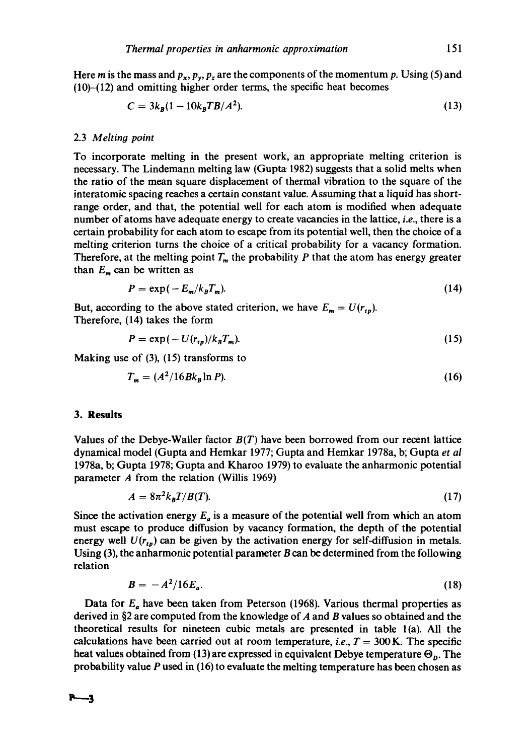Here m is the mass and  $p_x$ ,  $p_y$ ,  $p_z$  are the components of the momentum p. Using (5) and  $(10)$ - $(12)$  and omitting higher order terms, the specific heat becomes

$$
C = 3k_B(1 - 10k_B T B/A^2). \tag{13}
$$

### 2.3 *Melting point*

To incorporate melting in the present work, an appropriate melting criterion is necessary. The Lindemann melting law (Gupta 1982) suggests that a solid melts when the ratio of the mean square displacement of thermal vibration to the square of the interatomic spacing reaches a certain constant value. Assuming that a liquid has shortrange order, and that, the potential well for each atom is modified when adequate number of atoms have adequate energy to create vacancies in the lattice, *i.e.,* there is a certain probability for each atom to escape from its potential well, then the choice of a melting criterion turns the choice of a critical probability for a vacancy formation. Therefore, at the melting point  $T_m$  the probability  $P$  that the atom has energy greater than  $E_m$  can be written as

$$
P = \exp(-E_m/k_B T_m). \tag{14}
$$

But, according to the above stated criterion, we have  $E_m = U(r_{tp})$ . Therefore, (14) takes the form

$$
P = \exp(-U(r_{tp})/k_B T_m). \tag{15}
$$

Making use of (3), (15) transforms to

$$
T_m = (A^2/16Bk_B \ln P). \tag{16}
$$

#### **3. Results**

Values of the Debye-Waller factor *B(T)* have been borrowed from our recent lattice dynamical model (Gupta and Hemkar 1977; Gupta and Hemkar 1978a, b; Gupta *et al*  1978a, b; Gupta 1978; Gupta and Kharoo 1979) to evaluate the anharmonic potential parameter A from the relation (Willis 1969)

$$
A = 8\pi^2 k_B T / B(T). \tag{17}
$$

Since the activation energy  $E_a$  is a measure of the potential well from which an atom must escape to produce diffusion by vacancy formation, the depth of the potential energy well  $U(r_{tp})$  can be given by the activation energy for self-diffusion in metals. Using  $(3)$ , the anharmonic potential parameter B can be determined from the following relation

$$
B = -A^2/16E_a. \tag{18}
$$

Data for  $E_a$  have been taken from Peterson (1968). Various thermal properties as derived in §2 are computed from the knowledge of A and B values so obtained and the theoretical results for nineteen cubic metals are presented in table l(a). All the calculations have been carried out at room temperature, *i.e.*,  $T = 300$  K. The specific heat values obtained from (13) are expressed in equivalent Debye temperature  $\Theta_p$ . The probability value P used in (16) to evaluate the melting temperature has been chosen as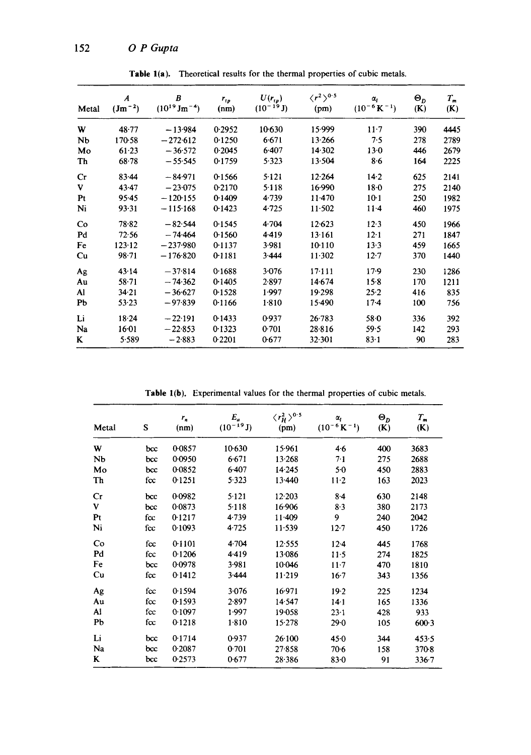| Metal          | A<br>$(Jm^{-2})$ | B<br>$(10^{19} \text{ Jm}^{-4})$ | $r_{tp}$<br>(nm) | $U(r_{ip})$<br>$(10^{-19} J)$ | $\langle r^2\rangle^{0.5}$<br>(pm) | $\alpha_i$<br>$(10^{-6} K^{-1})$ | $\mathbf{e}_p$<br>(K) | $T_m$<br>(K) |
|----------------|------------------|----------------------------------|------------------|-------------------------------|------------------------------------|----------------------------------|-----------------------|--------------|
| W              | 48.77            | $-13.984$                        | 0.2952           | 10.630                        | 15.999                             | $11-7$                           | 390                   | 4445         |
| Nb             | 170-58           | $-272.612$                       | 0.1250           | 6.671                         | 13.266                             | 7.5                              | 278                   | 2789         |
| Mo             | 61.23            | $-36.572$                        | 0.2045           | $6-407$                       | 14.302                             | $13-0$                           | 446                   | 2679         |
| Th             | $68 - 78$        | $-55.545$                        | 0.1759           | 5.323                         | 13.504                             | 8.6                              | 164                   | 2225         |
| Cr             | 83.44            | $-84.971$                        | 0.1566           | 5.121                         | 12.264                             | $14-2$                           | 625                   | 2141         |
| V              | 43.47            | $-23.075$                        | 0.2170           | 5.118                         | 16.990                             | $18 - 0$                         | 275                   | 2140         |
| P <sub>t</sub> | $95-45$          | $-120-155$                       | 0.1409           | 4.739                         | $11-470$                           | $10-1$                           | 250                   | 1982         |
| Ni             | 93.31            | $-115.168$                       | 0.1423           | 4.725                         | 11.502                             | $11-4$                           | 460                   | 1975         |
| Co             | 78.82            | $-82.544$                        | 0.1545           | 4.704                         | 12.623                             | 12.3                             | 450                   | 1966         |
| P <sub>d</sub> | 72.56            | $-74.464$                        | 0.1560           | 4.419                         | 13.161                             | $12 - 1$                         | 271                   | 1847         |
| Fe             | 123.12           | $-237.980$                       | 0.1137           | 3.981                         | 10.110                             | 13.3                             | 459                   | 1665         |
| Cu             | 98.71            | $-176.820$                       | 0.1181           | 3.444                         | $11-302$                           | $12 - 7$                         | 370                   | 1440         |
| Ag             | 43.14            | $-37.814$                        | 0.1688           | 3.076                         | $17 - 111$                         | $17-9$                           | 230                   | 1286         |
| Au             | 58.71            | $-74.362$                        | 0.1405           | 2.897                         | 14.674                             | 15.8                             | 170                   | 1211         |
| Al             | 34.21            | $-36.627$                        | 0.1528           | 1.997                         | 19.298                             | $25 - 2$                         | 416                   | 835          |
| Pb             | 53.23            | $-97.839$                        | 0.1166           | 1.810                         | 15.490                             | $17-4$                           | 100                   | 756          |
| Li             | 18.24            | $-22.191$                        | 0.1433           | 0.937                         | $26 - 783$                         | 58.0                             | 336                   | 392          |
| Na             | $16 - 01$        | $-22.853$                        | 0.1323           | 0.701                         | 28.816                             | 59.5                             | 142                   | 293          |
| K              | 5.589            | $-2.883$                         | 0.2201           | 0.677                         | 32.301                             | $83 - 1$                         | 90                    | 283          |

Table 1(a). Theoretical results for the thermal properties of cubic metals.

Table 1(b). Experimental values for the thermal properties of cubic metals.

| Metal          | S   | $r_n$<br>(nm) | $E_a$<br>$(10^{-19} J)$ | $\langle r_H^2\rangle^{0.5}$<br>(pm) | $\alpha_{l}$<br>$(10^{-6} K^{-1})$ | $\Theta_{\rm D}$<br>(K) | $T_m$<br>(K) |
|----------------|-----|---------------|-------------------------|--------------------------------------|------------------------------------|-------------------------|--------------|
| W              | bcc | 0.0857        | $10-630$                | 15.961                               | 4.6                                | 400                     | 3683         |
| Nb             | bcc | 0.0950        | 6.671                   | 13.268                               | 7.1                                | 275                     | 2688         |
| Mo             | bcc | 0.0852        | 6.407                   | 14.245                               | 5.0                                | 450                     | 2883         |
| Th             | fcc | 0.1251        | 5.323                   | 13.440                               | $11-2$                             | 163                     | 2023         |
| Cr             | bcc | 0.0982        | 5.121                   | 12.203                               | $8-4$                              | 630                     | 2148         |
| V              | bcc | 0.0873        | 5.118                   | 16.906                               | 8.3                                | 380                     | 2173         |
| P <sub>t</sub> | fcc | 0.1217        | 4.739                   | $11 - 409$                           | 9                                  | 240                     | 2042         |
| Ni             | fcc | 0.1093        | 4.725                   | $11 - 539$                           | $12 - 7$                           | 450                     | 1726         |
| Co             | fcc | 0.1101        | 4.704                   | 12.555                               | $12-4$                             | 445                     | 1768         |
| Pd             | fcc | 0.1206        | 4.419                   | 13.086                               | $11-5$                             | 274                     | 1825         |
| Fe             | bcc | 0.0978        | 3.981                   | 10.046                               | $11 - 7$                           | 470                     | 1810         |
| Cu             | fcc | 0.1412        | 3.444                   | 11.219                               | $16 - 7$                           | 343                     | 1356         |
| Ag             | fcc | 0.1594        | 3.076                   | 16.971                               | 19.2                               | 225                     | 1234         |
| Au             | fcc | 0.1593        | 2.897                   | 14.547                               | $14 - 1$                           | 165                     | 1336         |
| Al             | fcc | 0.1097        | 1.997                   | 19-058                               | $23 - 1$                           | 428                     | 933          |
| Pb             | fcc | 0.1218        | 1.810                   | 15.278                               | $29 - 0$                           | 105                     | $600-3$      |
| Li             | bcc | 0.1714        | 0.937                   | 26.100                               | 45.0                               | 344                     | 453.5        |
| Na             | bcc | 0.2087        | 0.701                   | 27.858                               | $70-6$                             | 158                     | 370-8        |
| K              | bcc | 0.2573        | 0.677                   | $28 - 386$                           | $83 - 0$                           | 91                      | 336.7        |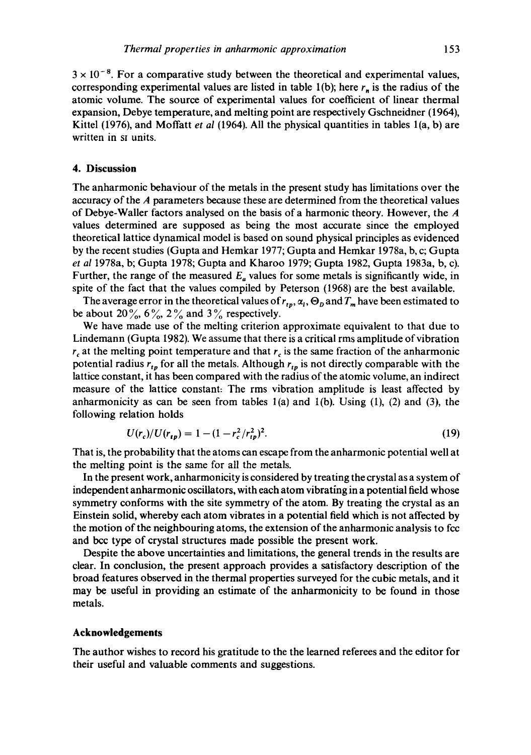$3 \times 10^{-8}$ . For a comparative study between the theoretical and experimental values, corresponding experimental values are listed in table 1(b); here  $r_n$  is the radius of the atomic volume. The source of experimental values for coefficient of linear thermal expansion, Debye temperature, and melting point are respectively Gschneidner (1964), Kittel (1976), and Moffatt *et al* (1964). All the physical quantities in tables 1(a, b) are written in st units.

#### **4. Discussion**

The anharmonic behaviour of the metals in the present study has limitations over the accuracy of the A parameters because these are determined from the theoretical values of Debye-Waller factors analysed on the basis of a harmonic theory. However, the A values determined are supposed as being the most accurate since the employed theoretical lattice dynamical model is based on sound physical principles as evidenced by the recent studies (Gupta and Hemkar 1977; Gupta and Hemkar 1978a, b, c; Gupta *et al* 1978a, b; Gupta 1978; Gupta and Kharoo 1979; Gupta 1982, Gupta 1983a, b, c). Further, the range of the measured  $E_a$  values for some metals is significantly wide, in spite of the fact that the values compiled by Peterson (1968) are the best available.

The average error in the theoretical values of  $r_{tp}$ ,  $\alpha_i$ ,  $\Theta_p$  and  $T_m$  have been estimated to be about 20%,  $6\%$ ,  $2\%$  and  $3\%$  respectively.

We have made use of the melting criterion approximate equivalent to that due to Lindemann (Gupta 1982). We assume that there is a critical rms amplitude of vibration  $r_c$  at the melting point temperature and that  $r_c$  is the same fraction of the anharmonic potential radius  $r_{tp}$  for all the metals. Although  $r_{tp}$  is not directly comparable with the lattice constant, it has been compared with the radius of the atomic volume, an indirect measure of the lattice constant: The rms vibration amplitude is least affected by anharmonicity as can be seen from tables  $1(a)$  and  $1(b)$ . Using  $(1)$ ,  $(2)$  and  $(3)$ , the following relation holds

$$
U(r_c)/U(r_{tp}) = 1 - (1 - r_c^2/r_{tp}^2)^2.
$$
 (19)

That is, the probability that the atoms can escape from the anharmonic potential well at the melting point is the same for all the metals.

In the present work, anharmonicity is considered by treating the crystal as a system of independent anharmonic oscillators, with each atom vibrating in a potential field whose symmetry conforms with the site symmetry of the atom. By treating the crystal as an Einstein solid, whereby each atom vibrates in a potential field which is not affected by the motion of the neighbouring atoms, the extension of the anharmonic analysis to *fcc*  and bec type of crystal structures made possible the present work.

Despite the above uncertainties and limitations, the general trends in the results are clear. In conclusion, the present approach provides a satisfactory description of the broad features observed in the thermal properties surveyed for the cubic metals, and it may be useful in providing an estimate of the anharmonicity to be found in those metals.

## **Acknowledgements**

The author wishes to record his gratitude to the the learned referees and the editor for their useful and valuable comments and suggestions.